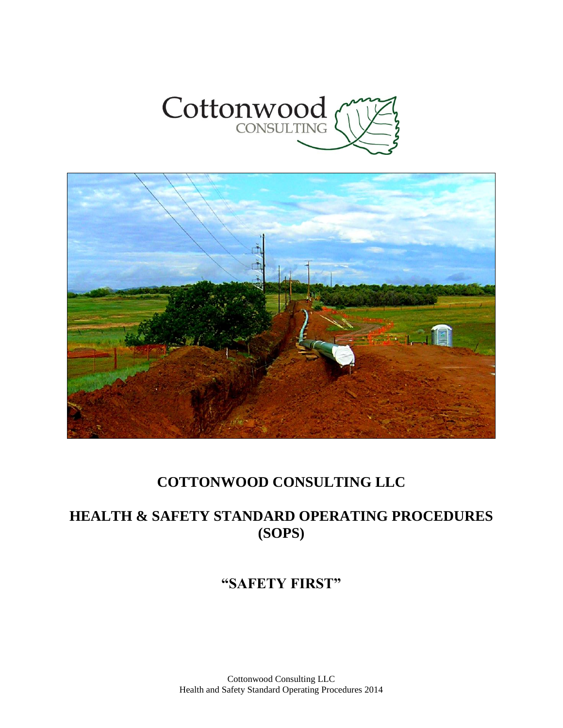



# **COTTONWOOD CONSULTING LLC**

# **HEALTH & SAFETY STANDARD OPERATING PROCEDURES (SOPS)**

# **"SAFETY FIRST"**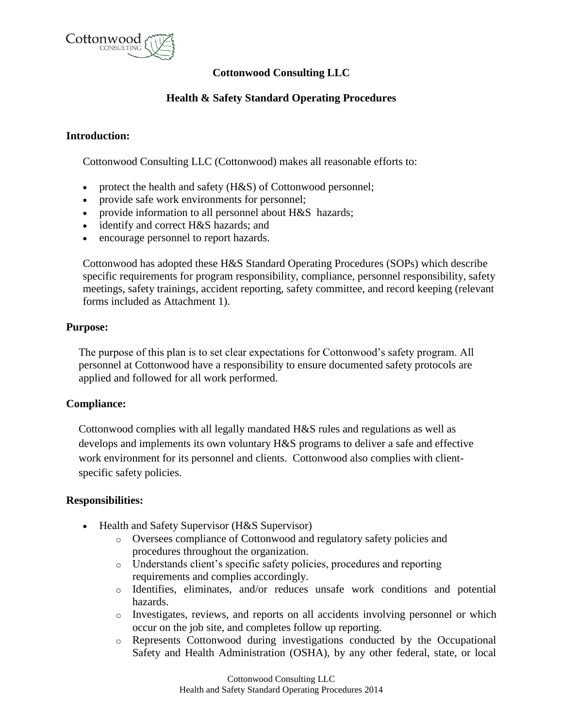

# **Cottonwood Consulting LLC**

# **Health & Safety Standard Operating Procedures**

## **Introduction:**

Cottonwood Consulting LLC (Cottonwood) makes all reasonable efforts to:

- protect the health and safety (H&S) of Cottonwood personnel;
- provide safe work environments for personnel;
- provide information to all personnel about H&S hazards;
- identify and correct H&S hazards; and
- encourage personnel to report hazards.

Cottonwood has adopted these H&S Standard Operating Procedures (SOPs) which describe specific requirements for program responsibility, compliance, personnel responsibility, safety meetings, safety trainings, accident reporting, safety committee, and record keeping (relevant forms included as Attachment 1).

### **Purpose:**

The purpose of this plan is to set clear expectations for Cottonwood's safety program. All personnel at Cottonwood have a responsibility to ensure documented safety protocols are applied and followed for all work performed.

### **Compliance:**

Cottonwood complies with all legally mandated H&S rules and regulations as well as develops and implements its own voluntary H&S programs to deliver a safe and effective work environment for its personnel and clients. Cottonwood also complies with clientspecific safety policies.

## **Responsibilities:**

- Health and Safety Supervisor (H&S Supervisor)
	- o Oversees compliance of Cottonwood and regulatory safety policies and procedures throughout the organization.
	- o Understands client's specific safety policies, procedures and reporting requirements and complies accordingly.
	- o Identifies, eliminates, and/or reduces unsafe work conditions and potential hazards.
	- o Investigates, reviews, and reports on all accidents involving personnel or which occur on the job site, and completes follow up reporting.
	- o Represents Cottonwood during investigations conducted by the Occupational Safety and Health Administration (OSHA), by any other federal, state, or local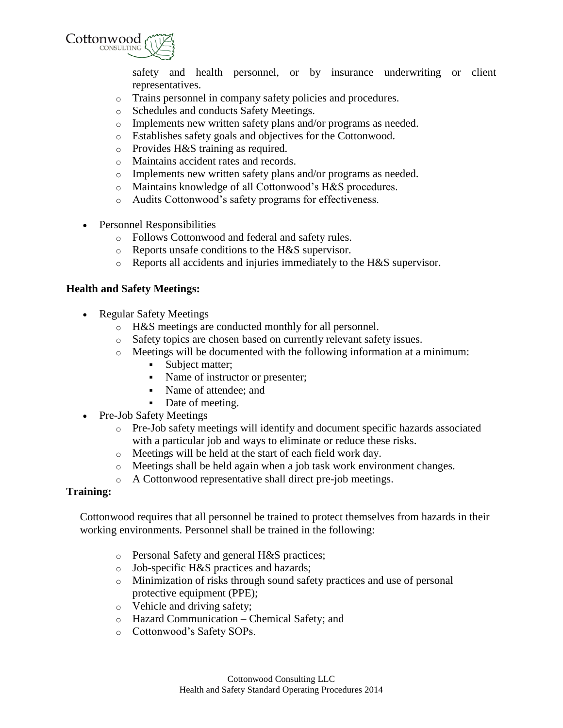

safety and health personnel, or by insurance underwriting or client representatives.

- o Trains personnel in company safety policies and procedures.
- o Schedules and conducts Safety Meetings.
- o Implements new written safety plans and/or programs as needed.
- o Establishes safety goals and objectives for the Cottonwood.
- o Provides H&S training as required.
- o Maintains accident rates and records.
- o Implements new written safety plans and/or programs as needed.
- o Maintains knowledge of all Cottonwood's H&S procedures.
- o Audits Cottonwood's safety programs for effectiveness.
- Personnel Responsibilities
	- o Follows Cottonwood and federal and safety rules.
	- o Reports unsafe conditions to the H&S supervisor.
	- o Reports all accidents and injuries immediately to the H&S supervisor.

### **Health and Safety Meetings:**

- Regular Safety Meetings
	- o H&S meetings are conducted monthly for all personnel.
	- o Safety topics are chosen based on currently relevant safety issues.
	- o Meetings will be documented with the following information at a minimum:
		- Subject matter;
		- Name of instructor or presenter;
		- Name of attendee; and
		- Date of meeting.
- Pre-Job Safety Meetings
	- o Pre-Job safety meetings will identify and document specific hazards associated with a particular job and ways to eliminate or reduce these risks.
	- o Meetings will be held at the start of each field work day.
	- o Meetings shall be held again when a job task work environment changes.
	- o A Cottonwood representative shall direct pre-job meetings.

### **Training:**

Cottonwood requires that all personnel be trained to protect themselves from hazards in their working environments. Personnel shall be trained in the following:

- o Personal Safety and general H&S practices;
- o Job-specific H&S practices and hazards;
- o Minimization of risks through sound safety practices and use of personal protective equipment (PPE);
- o Vehicle and driving safety;
- o Hazard Communication Chemical Safety; and
- o Cottonwood's Safety SOPs.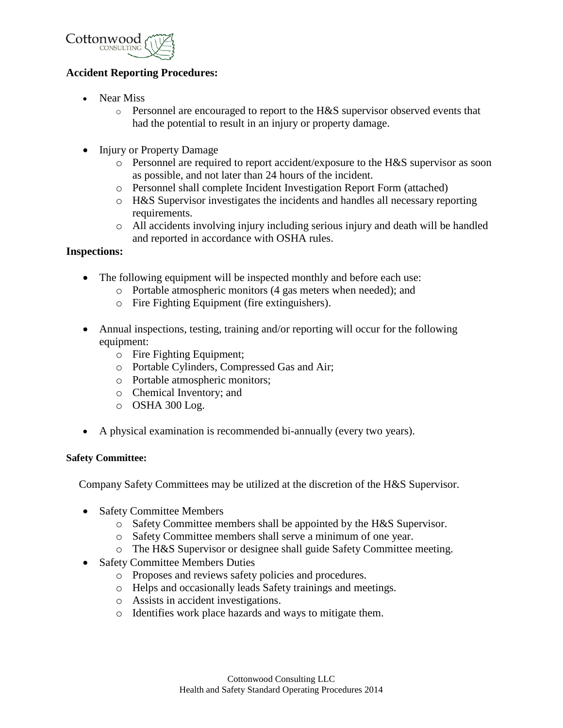

## **Accident Reporting Procedures:**

- Near Miss
	- $\circ$  Personnel are encouraged to report to the H&S supervisor observed events that had the potential to result in an injury or property damage.
- Injury or Property Damage
	- o Personnel are required to report accident/exposure to the H&S supervisor as soon as possible, and not later than 24 hours of the incident.
	- o Personnel shall complete Incident Investigation Report Form (attached)
	- o H&S Supervisor investigates the incidents and handles all necessary reporting requirements.
	- o All accidents involving injury including serious injury and death will be handled and reported in accordance with OSHA rules.

#### **Inspections:**

- The following equipment will be inspected monthly and before each use:
	- o Portable atmospheric monitors (4 gas meters when needed); and
	- o Fire Fighting Equipment (fire extinguishers).
- Annual inspections, testing, training and/or reporting will occur for the following equipment:
	- o Fire Fighting Equipment;
	- o Portable Cylinders, Compressed Gas and Air;
	- o Portable atmospheric monitors;
	- o Chemical Inventory; and
	- o OSHA 300 Log.
- A physical examination is recommended bi-annually (every two years).

#### **Safety Committee:**

Company Safety Committees may be utilized at the discretion of the H&S Supervisor.

- Safety Committee Members
	- o Safety Committee members shall be appointed by the H&S Supervisor.
	- o Safety Committee members shall serve a minimum of one year.
	- o The H&S Supervisor or designee shall guide Safety Committee meeting.
- Safety Committee Members Duties
	- o Proposes and reviews safety policies and procedures.
	- o Helps and occasionally leads Safety trainings and meetings.
	- o Assists in accident investigations.
	- o Identifies work place hazards and ways to mitigate them.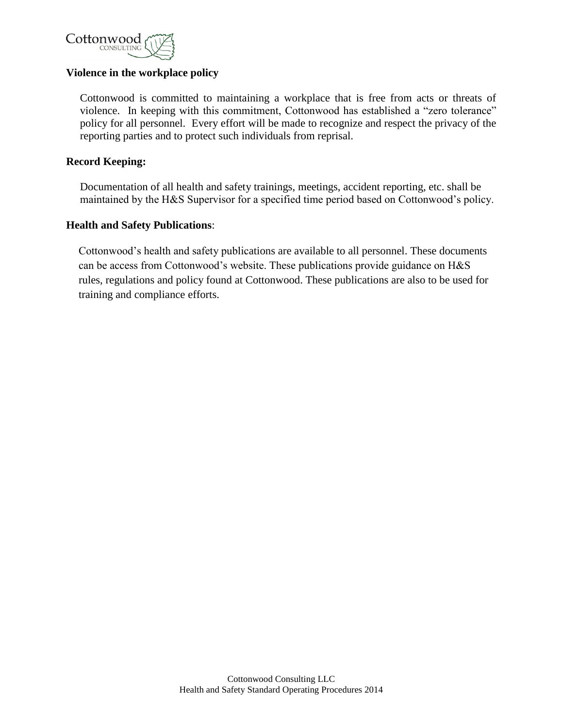

## **Violence in the workplace policy**

Cottonwood is committed to maintaining a workplace that is free from acts or threats of violence. In keeping with this commitment, Cottonwood has established a "zero tolerance" policy for all personnel. Every effort will be made to recognize and respect the privacy of the reporting parties and to protect such individuals from reprisal.

## **Record Keeping:**

Documentation of all health and safety trainings, meetings, accident reporting, etc. shall be maintained by the H&S Supervisor for a specified time period based on Cottonwood's policy.

### **Health and Safety Publications**:

Cottonwood's health and safety publications are available to all personnel. These documents can be access from Cottonwood's website. These publications provide guidance on H&S rules, regulations and policy found at Cottonwood. These publications are also to be used for training and compliance efforts.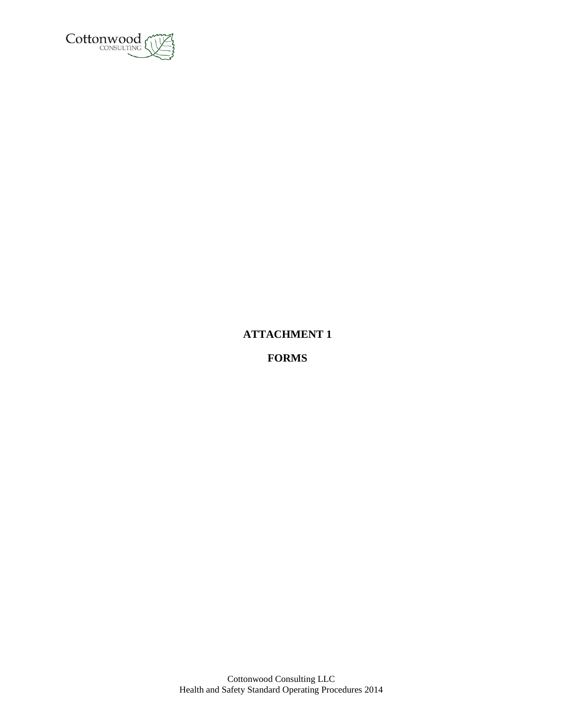

# **ATTACHMENT 1**

**FORMS**

Cottonwood Consulting LLC Health and Safety Standard Operating Procedures 2014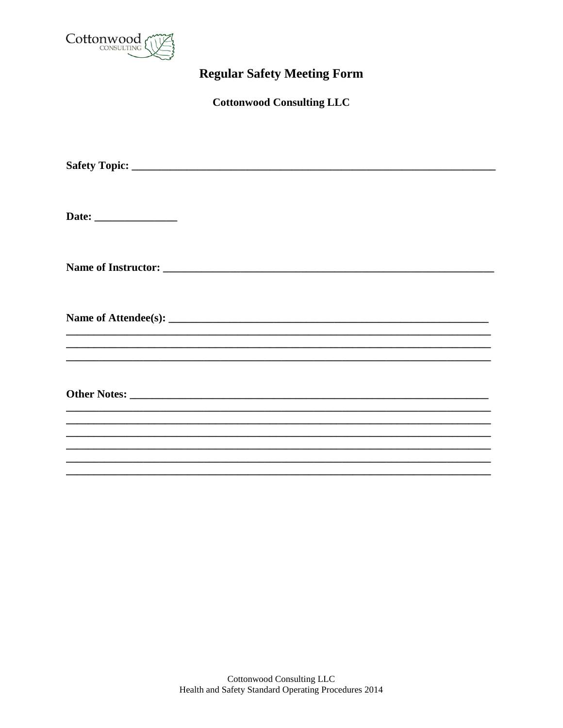

# **Regular Safety Meeting Form**

**Cottonwood Consulting LLC**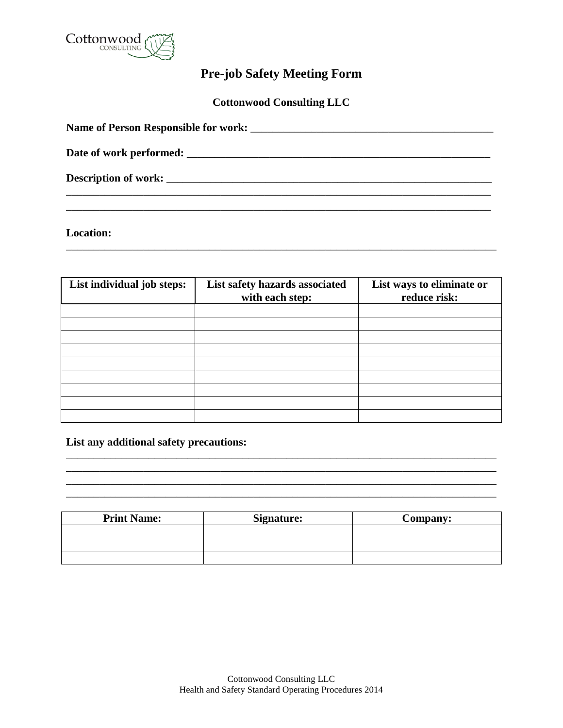

# **Pre-job Safety Meeting Form**

**Cottonwood Consulting LLC**

| <b>Description of work:</b> Letterstown the second second second second second second second second second second second second second second second second second second second second second second second second second second s |  |
|-------------------------------------------------------------------------------------------------------------------------------------------------------------------------------------------------------------------------------------|--|
|                                                                                                                                                                                                                                     |  |

\_\_\_\_\_\_\_\_\_\_\_\_\_\_\_\_\_\_\_\_\_\_\_\_\_\_\_\_\_\_\_\_\_\_\_\_\_\_\_\_\_\_\_\_\_\_\_\_\_\_\_\_\_\_\_\_\_\_\_\_\_\_\_\_\_\_\_\_\_\_\_\_\_\_\_\_\_\_

**Location:**

| List individual job steps: | List safety hazards associated<br>with each step: | List ways to eliminate or<br>reduce risk: |
|----------------------------|---------------------------------------------------|-------------------------------------------|
|                            |                                                   |                                           |
|                            |                                                   |                                           |
|                            |                                                   |                                           |
|                            |                                                   |                                           |
|                            |                                                   |                                           |
|                            |                                                   |                                           |
|                            |                                                   |                                           |
|                            |                                                   |                                           |
|                            |                                                   |                                           |

**List any additional safety precautions:** 

| <b>Print Name:</b> | <b>Signature:</b> | <b>Company:</b> |
|--------------------|-------------------|-----------------|
|                    |                   |                 |
|                    |                   |                 |
|                    |                   |                 |

\_\_\_\_\_\_\_\_\_\_\_\_\_\_\_\_\_\_\_\_\_\_\_\_\_\_\_\_\_\_\_\_\_\_\_\_\_\_\_\_\_\_\_\_\_\_\_\_\_\_\_\_\_\_\_\_\_\_\_\_\_\_\_\_\_\_\_\_\_\_\_\_\_\_\_\_\_\_ \_\_\_\_\_\_\_\_\_\_\_\_\_\_\_\_\_\_\_\_\_\_\_\_\_\_\_\_\_\_\_\_\_\_\_\_\_\_\_\_\_\_\_\_\_\_\_\_\_\_\_\_\_\_\_\_\_\_\_\_\_\_\_\_\_\_\_\_\_\_\_\_\_\_\_\_\_\_ \_\_\_\_\_\_\_\_\_\_\_\_\_\_\_\_\_\_\_\_\_\_\_\_\_\_\_\_\_\_\_\_\_\_\_\_\_\_\_\_\_\_\_\_\_\_\_\_\_\_\_\_\_\_\_\_\_\_\_\_\_\_\_\_\_\_\_\_\_\_\_\_\_\_\_\_\_\_ \_\_\_\_\_\_\_\_\_\_\_\_\_\_\_\_\_\_\_\_\_\_\_\_\_\_\_\_\_\_\_\_\_\_\_\_\_\_\_\_\_\_\_\_\_\_\_\_\_\_\_\_\_\_\_\_\_\_\_\_\_\_\_\_\_\_\_\_\_\_\_\_\_\_\_\_\_\_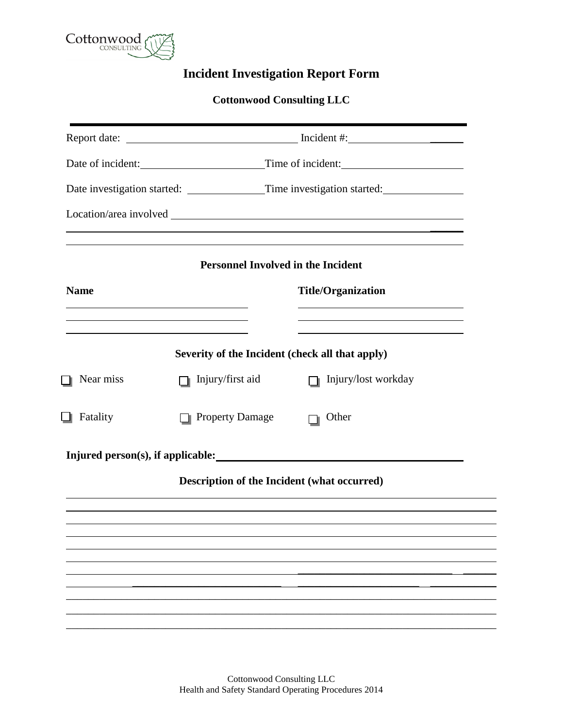

# **Incident Investigation Report Form**

## **Cottonwood Consulting LLC**

|                        | Date of incident: Time of incident:                                                                                   |                                                                                                                                                                                                                                                                                                                                                                                                                                                                                               |  |
|------------------------|-----------------------------------------------------------------------------------------------------------------------|-----------------------------------------------------------------------------------------------------------------------------------------------------------------------------------------------------------------------------------------------------------------------------------------------------------------------------------------------------------------------------------------------------------------------------------------------------------------------------------------------|--|
|                        |                                                                                                                       |                                                                                                                                                                                                                                                                                                                                                                                                                                                                                               |  |
|                        |                                                                                                                       |                                                                                                                                                                                                                                                                                                                                                                                                                                                                                               |  |
|                        |                                                                                                                       |                                                                                                                                                                                                                                                                                                                                                                                                                                                                                               |  |
|                        | <b>Title/Organization</b>                                                                                             |                                                                                                                                                                                                                                                                                                                                                                                                                                                                                               |  |
|                        | <u> 1989 - Johann Barbara, martin amerikan basar dan berasal dan berasal dalam basar dalam basar dalam basar dala</u> |                                                                                                                                                                                                                                                                                                                                                                                                                                                                                               |  |
| Injury/first aid       | Injury/lost workday                                                                                                   |                                                                                                                                                                                                                                                                                                                                                                                                                                                                                               |  |
| <b>Property Damage</b> | Other                                                                                                                 |                                                                                                                                                                                                                                                                                                                                                                                                                                                                                               |  |
|                        |                                                                                                                       |                                                                                                                                                                                                                                                                                                                                                                                                                                                                                               |  |
|                        |                                                                                                                       |                                                                                                                                                                                                                                                                                                                                                                                                                                                                                               |  |
|                        |                                                                                                                       |                                                                                                                                                                                                                                                                                                                                                                                                                                                                                               |  |
|                        |                                                                                                                       |                                                                                                                                                                                                                                                                                                                                                                                                                                                                                               |  |
|                        |                                                                                                                       |                                                                                                                                                                                                                                                                                                                                                                                                                                                                                               |  |
|                        |                                                                                                                       |                                                                                                                                                                                                                                                                                                                                                                                                                                                                                               |  |
|                        |                                                                                                                       |                                                                                                                                                                                                                                                                                                                                                                                                                                                                                               |  |
|                        | <u> 1989 - Johann Stein, marwolaethau a bhann an t-Amhain an t-Amhain an t-Amhain an t-Amhain an t-Amhain an t-A</u>  | Date investigation started: ______________Time investigation started: ________________<br><u> 1989 - Andrea Santa Andrea Santa Andrea Santa Andrea Santa Andrea Santa Andrea Santa Andrea Santa Andrea San</u><br>,我们也不会有什么。""我们的人,我们也不会有什么?""我们的人,我们也不会有什么?""我们的人,我们也不会有什么?""我们的人,我们也不会有什么?""我们的人<br><b>Personnel Involved in the Incident</b><br>Severity of the Incident (check all that apply)<br>Injured person(s), if applicable:<br><b>Description of the Incident (what occurred)</b> |  |